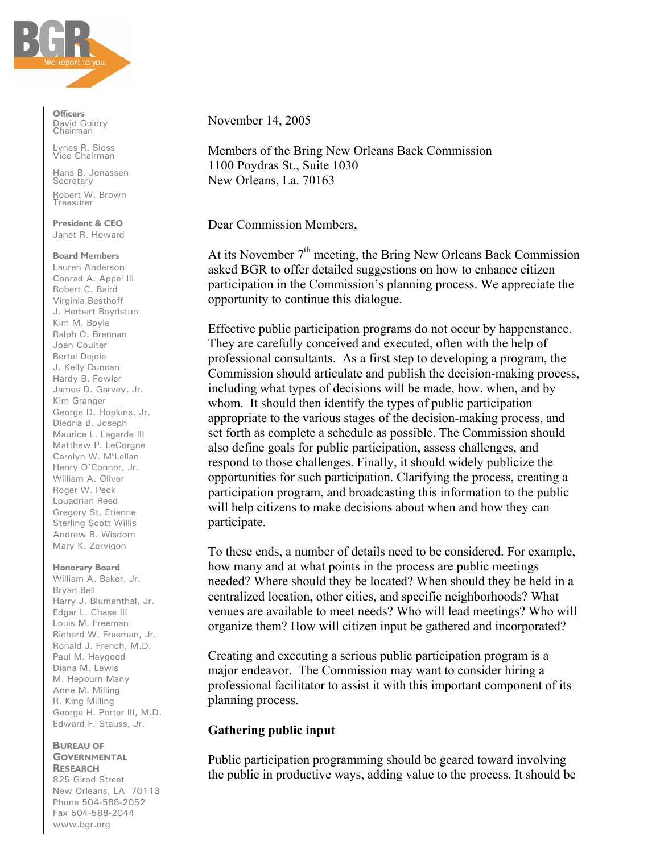

**Officers** David Guidry Chairman

Lynes R. Sloss Vice Chairman

Hans B. Jonassen **Secretary** Robert W. Brown Treasurer

**President & CEO** Janet R. Howard

### **Board Members**

Lauren Anderson Conrad A. Appel III Robert C. Baird Virginia Besthoff J. Herbert Boydstun Kim M. Boyle Ralph O. Brennan Joan Coulter Bertel Dejoie J. Kelly Duncan Hardy B. Fowler James D. Garvey, Jr. Kim Granger George D. Hopkins, Jr. Diedria B. Joseph Maurice L. Lagarde III Matthew P. LeCorgne Carolyn W. M<sup>c</sup>Lellan Henry O'Connor, Jr. William A. Oliver Roger W. Peck Louadrian Reed Gregory St. Etienne Sterling Scott Willis Andrew B. Wisdom Mary K. Zervigon

## **Honorary Board**

William A. Baker, Jr. Bryan Bell Harry J. Blumenthal, Jr. Edgar L. Chase III Louis M. Freeman Richard W. Freeman, Jr. Ronald J. French, M.D. Paul M. Haygood Diana M. Lewis M. Hepburn Many Anne M. Milling R. King Milling George H. Porter III, M.D. Edward F. Stauss, Jr.

#### **BUREAU OF GOVERNMENTAL RESEARCH**

825 Girod Street New Orleans, LA 70113 Phone 504-588-2052 Fax 504-588-2044 www.bgr.org

November 14, 2005

Members of the Bring New Orleans Back Commission 1100 Poydras St., Suite 1030 New Orleans, La. 70163

Dear Commission Members,

At its November  $7<sup>th</sup>$  meeting, the Bring New Orleans Back Commission asked BGR to offer detailed suggestions on how to enhance citizen participation in the Commission's planning process. We appreciate the opportunity to continue this dialogue.

Effective public participation programs do not occur by happenstance. They are carefully conceived and executed, often with the help of professional consultants. As a first step to developing a program, the Commission should articulate and publish the decision-making process, including what types of decisions will be made, how, when, and by whom. It should then identify the types of public participation appropriate to the various stages of the decision-making process, and set forth as complete a schedule as possible. The Commission should also define goals for public participation, assess challenges, and respond to those challenges. Finally, it should widely publicize the opportunities for such participation. Clarifying the process, creating a participation program, and broadcasting this information to the public will help citizens to make decisions about when and how they can participate.

To these ends, a number of details need to be considered. For example, how many and at what points in the process are public meetings needed? Where should they be located? When should they be held in a centralized location, other cities, and specific neighborhoods? What venues are available to meet needs? Who will lead meetings? Who will organize them? How will citizen input be gathered and incorporated?

Creating and executing a serious public participation program is a major endeavor. The Commission may want to consider hiring a professional facilitator to assist it with this important component of its planning process.

## **Gathering public input**

Public participation programming should be geared toward involving the public in productive ways, adding value to the process. It should be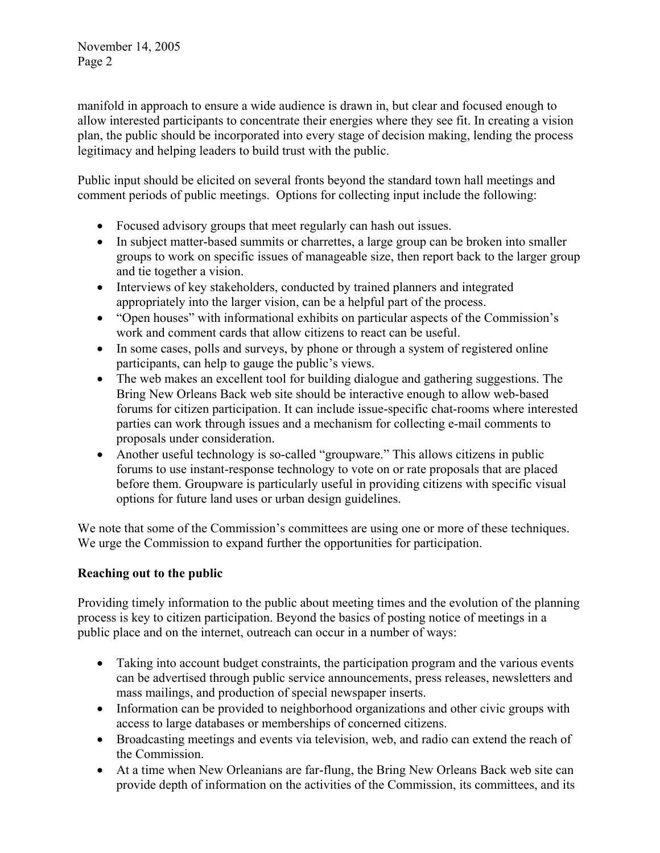November 14, 2005 Page 2

manifold in approach to ensure a wide audience is drawn in, but clear and focused enough to allow interested participants to concentrate their energies where they see fit. In creating a vision plan, the public should be incorporated into every stage of decision making, lending the process legitimacy and helping leaders to build trust with the public.

Public input should be elicited on several fronts beyond the standard town hall meetings and comment periods of public meetings. Options for collecting input include the following:

- Focused advisory groups that meet regularly can hash out issues.
- In subject matter-based summits or charrettes, a large group can be broken into smaller groups to work on specific issues of manageable size, then report back to the larger group and tie together a vision.
- Interviews of key stakeholders, conducted by trained planners and integrated appropriately into the larger vision, can be a helpful part of the process.
- "Open houses" with informational exhibits on particular aspects of the Commission's work and comment cards that allow citizens to react can be useful.
- In some cases, polls and surveys, by phone or through a system of registered online participants, can help to gauge the public's views.
- The web makes an excellent tool for building dialogue and gathering suggestions. The Bring New Orleans Back web site should be interactive enough to allow web-based forums for citizen participation. It can include issue-specific chat-rooms where interested parties can work through issues and a mechanism for collecting e-mail comments to proposals under consideration.
- Another useful technology is so-called "groupware." This allows citizens in public forums to use instant-response technology to vote on or rate proposals that are placed before them. Groupware is particularly useful in providing citizens with specific visual options for future land uses or urban design guidelines.

We note that some of the Commission's committees are using one or more of these techniques. We urge the Commission to expand further the opportunities for participation.

# **Reaching out to the public**

Providing timely information to the public about meeting times and the evolution of the planning process is key to citizen participation. Beyond the basics of posting notice of meetings in a public place and on the internet, outreach can occur in a number of ways:

- Taking into account budget constraints, the participation program and the various events can be advertised through public service announcements, press releases, newsletters and mass mailings, and production of special newspaper inserts.
- Information can be provided to neighborhood organizations and other civic groups with access to large databases or memberships of concerned citizens.
- Broadcasting meetings and events via television, web, and radio can extend the reach of the Commission.
- At a time when New Orleanians are far-flung, the Bring New Orleans Back web site can provide depth of information on the activities of the Commission, its committees, and its